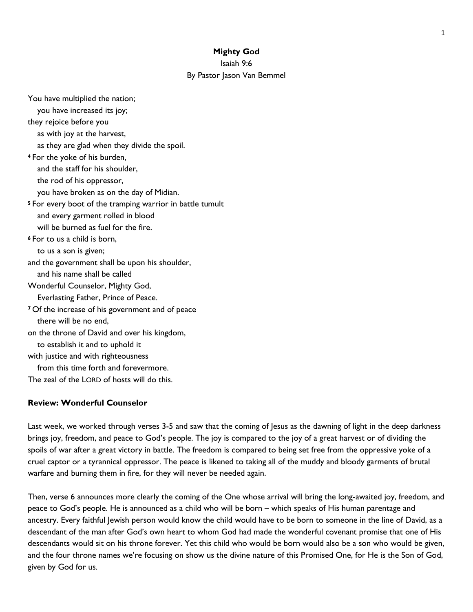#### **Mighty God**

Isaiah 9:6

## By Pastor Jason Van Bemmel

You have multiplied the nation; you have increased its joy; they rejoice before you as with joy at the harvest, as they are glad when they divide the spoil. **<sup>4</sup>** For the yoke of his burden, and the staff for his shoulder, the rod of his oppressor, you have broken as on the day of Midian. **<sup>5</sup>** For every boot of the tramping warrior in battle tumult and every garment rolled in blood will be burned as fuel for the fire. **<sup>6</sup>** For to us a child is born, to us a son is given; and the government shall be upon his shoulder, and his name shall be called Wonderful Counselor, Mighty God, Everlasting Father, Prince of Peace. **<sup>7</sup>** Of the increase of his government and of peace there will be no end, on the throne of David and over his kingdom, to establish it and to uphold it with justice and with righteousness from this time forth and forevermore. The zeal of the LORD of hosts will do this.

### **Review: Wonderful Counselor**

Last week, we worked through verses 3-5 and saw that the coming of Jesus as the dawning of light in the deep darkness brings joy, freedom, and peace to God's people. The joy is compared to the joy of a great harvest or of dividing the spoils of war after a great victory in battle. The freedom is compared to being set free from the oppressive yoke of a cruel captor or a tyrannical oppressor. The peace is likened to taking all of the muddy and bloody garments of brutal warfare and burning them in fire, for they will never be needed again.

Then, verse 6 announces more clearly the coming of the One whose arrival will bring the long-awaited joy, freedom, and peace to God's people. He is announced as a child who will be born – which speaks of His human parentage and ancestry. Every faithful Jewish person would know the child would have to be born to someone in the line of David, as a descendant of the man after God's own heart to whom God had made the wonderful covenant promise that one of His descendants would sit on his throne forever. Yet this child who would be born would also be a son who would be given, and the four throne names we're focusing on show us the divine nature of this Promised One, for He is the Son of God, given by God for us.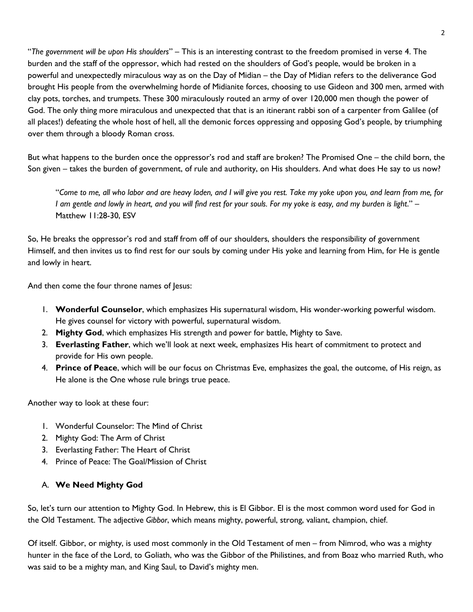"*The government will be upon His shoulders*" – This is an interesting contrast to the freedom promised in verse 4. The burden and the staff of the oppressor, which had rested on the shoulders of God's people, would be broken in a powerful and unexpectedly miraculous way as on the Day of Midian – the Day of Midian refers to the deliverance God brought His people from the overwhelming horde of Midianite forces, choosing to use Gideon and 300 men, armed with clay pots, torches, and trumpets. These 300 miraculously routed an army of over 120,000 men though the power of God. The only thing more miraculous and unexpected that that is an itinerant rabbi son of a carpenter from Galilee (of all places!) defeating the whole host of hell, all the demonic forces oppressing and opposing God's people, by triumphing over them through a bloody Roman cross.

But what happens to the burden once the oppressor's rod and staff are broken? The Promised One – the child born, the Son given – takes the burden of government, of rule and authority, on His shoulders. And what does He say to us now?

"*Come to me, all who labor and are heavy laden, and I will give you rest. Take my yoke upon you, and learn from me, for I am gentle and lowly in heart, and you will find rest for your souls. For my yoke is easy, and my burden is light*." – Matthew 11:28-30, ESV

So, He breaks the oppressor's rod and staff from off of our shoulders, shoulders the responsibility of government Himself, and then invites us to find rest for our souls by coming under His yoke and learning from Him, for He is gentle and lowly in heart.

And then come the four throne names of Jesus:

- 1. **Wonderful Counselor**, which emphasizes His supernatural wisdom, His wonder-working powerful wisdom. He gives counsel for victory with powerful, supernatural wisdom.
- 2. **Mighty God**, which emphasizes His strength and power for battle, Mighty to Save.
- 3. **Everlasting Father**, which we'll look at next week, emphasizes His heart of commitment to protect and provide for His own people.
- 4. **Prince of Peace**, which will be our focus on Christmas Eve, emphasizes the goal, the outcome, of His reign, as He alone is the One whose rule brings true peace.

Another way to look at these four:

- 1. Wonderful Counselor: The Mind of Christ
- 2. Mighty God: The Arm of Christ
- 3. Everlasting Father: The Heart of Christ
- 4. Prince of Peace: The Goal/Mission of Christ

# A. **We Need Mighty God**

So, let's turn our attention to Mighty God. In Hebrew, this is El Gibbor. El is the most common word used for God in the Old Testament. The adjective *Gibbor*, which means mighty, powerful, strong, valiant, champion, chief.

Of itself. Gibbor, or mighty, is used most commonly in the Old Testament of men – from Nimrod, who was a mighty hunter in the face of the Lord, to Goliath, who was the Gibbor of the Philistines, and from Boaz who married Ruth, who was said to be a mighty man, and King Saul, to David's mighty men.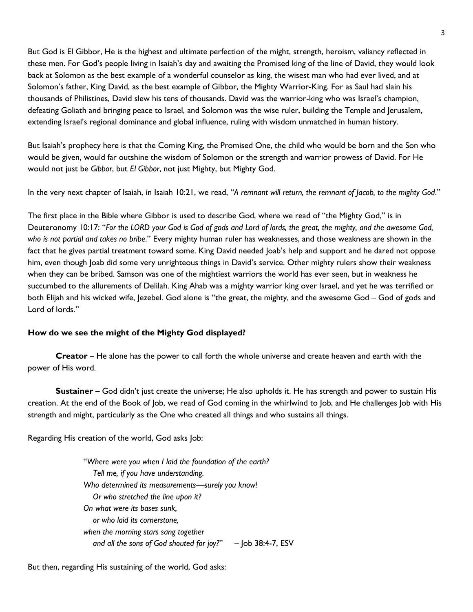But God is El Gibbor, He is the highest and ultimate perfection of the might, strength, heroism, valiancy reflected in these men. For God's people living in Isaiah's day and awaiting the Promised king of the line of David, they would look back at Solomon as the best example of a wonderful counselor as king, the wisest man who had ever lived, and at Solomon's father, King David, as the best example of Gibbor, the Mighty Warrior-King. For as Saul had slain his thousands of Philistines, David slew his tens of thousands. David was the warrior-king who was Israel's champion, defeating Goliath and bringing peace to Israel, and Solomon was the wise ruler, building the Temple and Jerusalem, extending Israel's regional dominance and global influence, ruling with wisdom unmatched in human history.

But Isaiah's prophecy here is that the Coming King, the Promised One, the child who would be born and the Son who would be given, would far outshine the wisdom of Solomon or the strength and warrior prowess of David. For He would not just be *Gibbor*, but *El Gibbor*, not just Mighty, but Mighty God.

In the very next chapter of Isaiah, in Isaiah 10:21, we read, "*A remnant will return, the remnant of Jacob, to the mighty God*."

The first place in the Bible where Gibbor is used to describe God, where we read of "the Mighty God," is in Deuteronomy 10:17: "*For the LORD your God is God of gods and Lord of lords, the great, the mighty, and the awesome God, who is not partial and takes no bribe*." Every mighty human ruler has weaknesses, and those weakness are shown in the fact that he gives partial treatment toward some. King David needed Joab's help and support and he dared not oppose him, even though Joab did some very unrighteous things in David's service. Other mighty rulers show their weakness when they can be bribed. Samson was one of the mightiest warriors the world has ever seen, but in weakness he succumbed to the allurements of Delilah. King Ahab was a mighty warrior king over Israel, and yet he was terrified or both Elijah and his wicked wife, Jezebel. God alone is "the great, the mighty, and the awesome God – God of gods and Lord of lords."

### **How do we see the might of the Mighty God displayed?**

**Creator** – He alone has the power to call forth the whole universe and create heaven and earth with the power of His word.

**Sustainer** – God didn't just create the universe; He also upholds it. He has strength and power to sustain His creation. At the end of the Book of Job, we read of God coming in the whirlwind to Job, and He challenges Job with His strength and might, particularly as the One who created all things and who sustains all things.

Regarding His creation of the world, God asks Job:

"*Where were you when I laid the foundation of the earth? Tell me, if you have understanding. Who determined its measurements—surely you know! Or who stretched the line upon it? On what were its bases sunk, or who laid its cornerstone, when the morning stars sang together and all the sons of God shouted for joy?*" – Job 38:4-7, ESV

But then, regarding His sustaining of the world, God asks: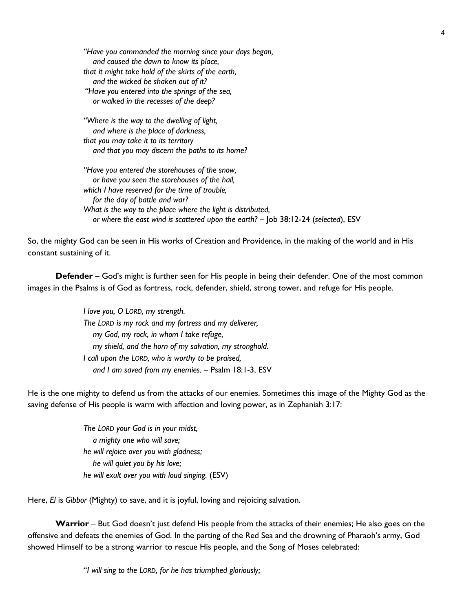*"Have you commanded the morning since your days began, and caused the dawn to know its place, that it might take hold of the skirts of the earth, and the wicked be shaken out of it? "Have you entered into the springs of the sea, or walked in the recesses of the deep?*

*"Where is the way to the dwelling of light, and where is the place of darkness, that you may take it to its territory and that you may discern the paths to its home?*

*"Have you entered the storehouses of the snow, or have you seen the storehouses of the hail, which I have reserved for the time of trouble, for the day of battle and war? What is the way to the place where the light is distributed, or where the east wind is scattered upon the earth?* – Job 38:12-24 (*selected*), ESV

So, the mighty God can be seen in His works of Creation and Providence, in the making of the world and in His constant sustaining of it.

**Defender** – God's might is further seen for His people in being their defender. One of the most common images in the Psalms is of God as fortress, rock, defender, shield, strong tower, and refuge for His people.

> *I love you, O LORD, my strength. The LORD is my rock and my fortress and my deliverer, my God, my rock, in whom I take refuge, my shield, and the horn of my salvation, my stronghold. I call upon the LORD, who is worthy to be praised, and I am saved from my enemies.* – Psalm 18:1-3, ESV

He is the one mighty to defend us from the attacks of our enemies. Sometimes this image of the Mighty God as the saving defense of His people is warm with affection and loving power, as in Zephaniah 3:17:

> *The LORD your God is in your midst, a mighty one who will save; he will rejoice over you with gladness; he will quiet you by his love; he will exult over you with loud singing.* (ESV)

Here, *El* is *Gibbor* (Mighty) to save, and it is joyful, loving and rejoicing salvation.

**Warrior** – But God doesn't just defend His people from the attacks of their enemies; He also goes on the offensive and defeats the enemies of God. In the parting of the Red Sea and the drowning of Pharaoh's army, God showed Himself to be a strong warrior to rescue His people, and the Song of Moses celebrated:

"*I will sing to the LORD, for he has triumphed gloriously;*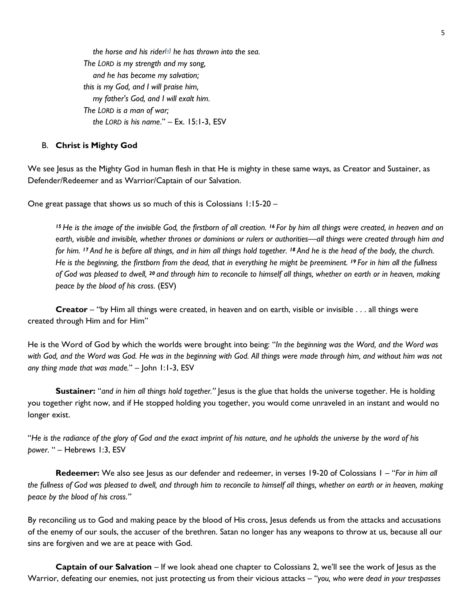*the horse and his rider [\[a\]](https://www.biblegateway.com/passage/?search=Exodus%2015&version=ESV#fen-ESV-1922a) he has thrown into the sea. The LORD is my strength and my song, and he has become my salvation; this is my God, and I will praise him, my father's God, and I will exalt him. The LORD is a man of war; the LORD is his name*." – Ex. 15:1-3, ESV

### B. **Christ is Mighty God**

We see Jesus as the Mighty God in human flesh in that He is mighty in these same ways, as Creator and Sustainer, as Defender/Redeemer and as Warrior/Captain of our Salvation.

One great passage that shows us so much of this is Colossians 1:15-20 –

*<sup>15</sup> He is the image of the invisible God, the firstborn of all creation. <sup>16</sup> For by him all things were created, in heaven and on earth, visible and invisible, whether thrones or dominions or rulers or authorities—all things were created through him and for him. <sup>17</sup> And he is before all things, and in him all things hold together. <sup>18</sup> And he is the head of the body, the church. He is the beginning, the firstborn from the dead, that in everything he might be preeminent. <sup>19</sup> For in him all the fullness of God was pleased to dwell, <sup>20</sup> and through him to reconcile to himself all things, whether on earth or in heaven, making peace by the blood of his cross.* (ESV)

**Creator** – "by Him all things were created, in heaven and on earth, visible or invisible . . . all things were created through Him and for Him"

He is the Word of God by which the worlds were brought into being: "*In the beginning was the Word, and the Word was with God, and the Word was God. He was in the beginning with God. All things were made through him, and without him was not any thing made that was made.*" – John 1:1-3, ESV

**Sustainer:** "*and in him all things hold together."* Jesus is the glue that holds the universe together. He is holding you together right now, and if He stopped holding you together, you would come unraveled in an instant and would no longer exist.

"*He is the radiance of the glory of God and the exact imprint of his nature, and he upholds the universe by the word of his power*. " – Hebrews 1:3, ESV

**Redeemer:** We also see Jesus as our defender and redeemer, in verses 19-20 of Colossians 1 – "*For in him all the fullness of God was pleased to dwell, and through him to reconcile to himself all things, whether on earth or in heaven, making peace by the blood of his cross."*

By reconciling us to God and making peace by the blood of His cross, Jesus defends us from the attacks and accusations of the enemy of our souls, the accuser of the brethren. Satan no longer has any weapons to throw at us, because all our sins are forgiven and we are at peace with God.

**Captain of our Salvation** – If we look ahead one chapter to Colossians 2, we'll see the work of Jesus as the Warrior, defeating our enemies, not just protecting us from their vicious attacks – "*you, who were dead in your trespasses*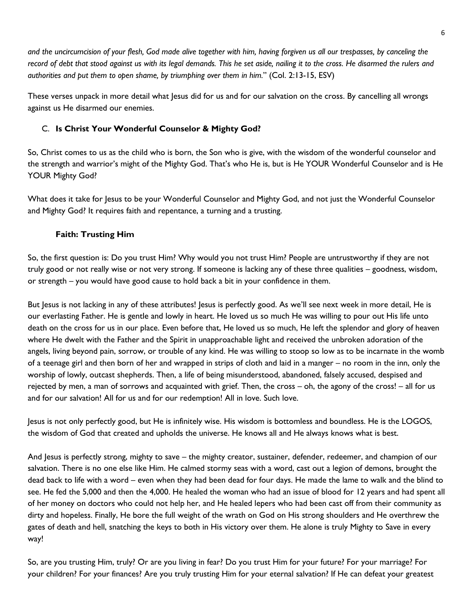*and the uncircumcision of your flesh, God made alive together with him, having forgiven us all our trespasses, by canceling the record of debt that stood against us with its legal demands. This he set aside, nailing it to the cross. He disarmed the rulers and authorities and put them to open shame, by triumphing over them in him.*" (Col. 2:13-15, ESV)

These verses unpack in more detail what Jesus did for us and for our salvation on the cross. By cancelling all wrongs against us He disarmed our enemies.

## C. **Is Christ Your Wonderful Counselor & Mighty God?**

So, Christ comes to us as the child who is born, the Son who is give, with the wisdom of the wonderful counselor and the strength and warrior's might of the Mighty God. That's who He is, but is He YOUR Wonderful Counselor and is He YOUR Mighty God?

What does it take for Jesus to be your Wonderful Counselor and Mighty God, and not just the Wonderful Counselor and Mighty God? It requires faith and repentance, a turning and a trusting.

## **Faith: Trusting Him**

So, the first question is: Do you trust Him? Why would you not trust Him? People are untrustworthy if they are not truly good or not really wise or not very strong. If someone is lacking any of these three qualities – goodness, wisdom, or strength – you would have good cause to hold back a bit in your confidence in them.

But Jesus is not lacking in any of these attributes! Jesus is perfectly good. As we'll see next week in more detail, He is our everlasting Father. He is gentle and lowly in heart. He loved us so much He was willing to pour out His life unto death on the cross for us in our place. Even before that, He loved us so much, He left the splendor and glory of heaven where He dwelt with the Father and the Spirit in unapproachable light and received the unbroken adoration of the angels, living beyond pain, sorrow, or trouble of any kind. He was willing to stoop so low as to be incarnate in the womb of a teenage girl and then born of her and wrapped in strips of cloth and laid in a manger – no room in the inn, only the worship of lowly, outcast shepherds. Then, a life of being misunderstood, abandoned, falsely accused, despised and rejected by men, a man of sorrows and acquainted with grief. Then, the cross – oh, the agony of the cross! – all for us and for our salvation! All for us and for our redemption! All in love. Such love.

Jesus is not only perfectly good, but He is infinitely wise. His wisdom is bottomless and boundless. He is the LOGOS, the wisdom of God that created and upholds the universe. He knows all and He always knows what is best.

And Jesus is perfectly strong, mighty to save – the mighty creator, sustainer, defender, redeemer, and champion of our salvation. There is no one else like Him. He calmed stormy seas with a word, cast out a legion of demons, brought the dead back to life with a word – even when they had been dead for four days. He made the lame to walk and the blind to see. He fed the 5,000 and then the 4,000. He healed the woman who had an issue of blood for 12 years and had spent all of her money on doctors who could not help her, and He healed lepers who had been cast off from their community as dirty and hopeless. Finally, He bore the full weight of the wrath on God on His strong shoulders and He overthrew the gates of death and hell, snatching the keys to both in His victory over them. He alone is truly Mighty to Save in every way!

So, are you trusting Him, truly? Or are you living in fear? Do you trust Him for your future? For your marriage? For your children? For your finances? Are you truly trusting Him for your eternal salvation? If He can defeat your greatest